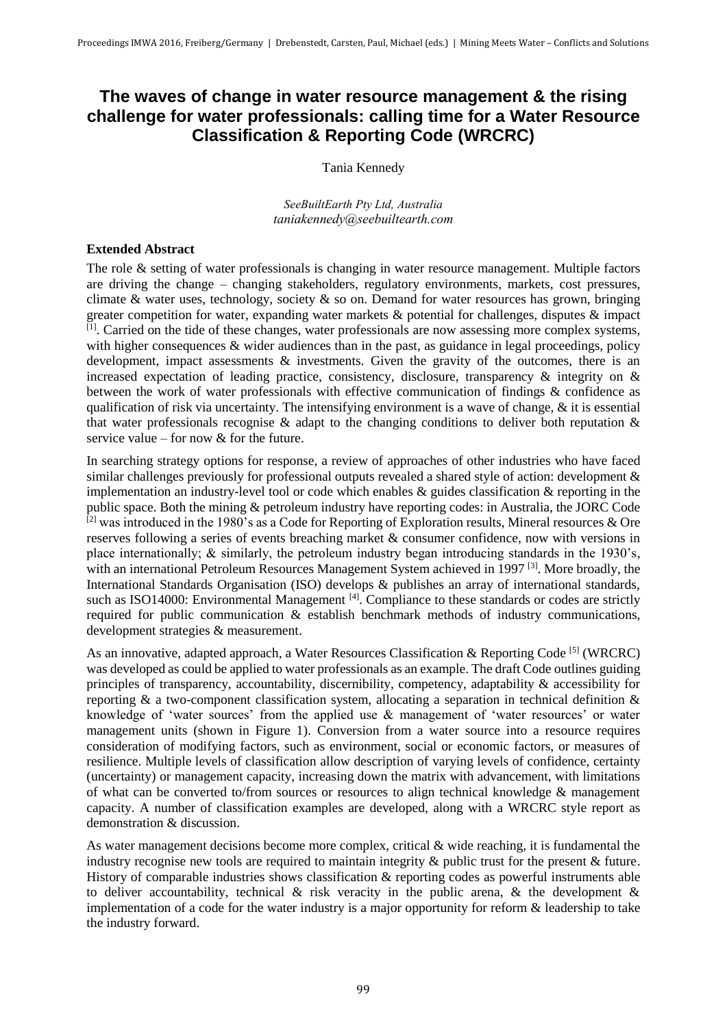## **The waves of change in water resource management & the rising challenge for water professionals: calling time for a Water Resource Classification & Reporting Code (WRCRC)**

Tania Kennedy

*SeeBuiltEarth Pty Ltd, Australia taniakennedy@seebuiltearth.com*

## **Extended Abstract**

The role & setting of water professionals is changing in water resource management. Multiple factors are driving the change – changing stakeholders, regulatory environments, markets, cost pressures, climate & water uses, technology, society  $\&$  so on. Demand for water resources has grown, bringing greater competition for water, expanding water markets & potential for challenges, disputes & impact  $\overline{[1]}$ . Carried on the tide of these changes, water professionals are now assessing more complex systems, with higher consequences & wider audiences than in the past, as guidance in legal proceedings, policy development, impact assessments  $\&$  investments. Given the gravity of the outcomes, there is an increased expectation of leading practice, consistency, disclosure, transparency & integrity on & between the work of water professionals with effective communication of findings & confidence as qualification of risk via uncertainty. The intensifying environment is a wave of change, & it is essential that water professionals recognise & adapt to the changing conditions to deliver both reputation & service value – for now & for the future.

In searching strategy options for response, a review of approaches of other industries who have faced similar challenges previously for professional outputs revealed a shared style of action: development & implementation an industry-level tool or code which enables & guides classification & reporting in the public space. Both the mining & petroleum industry have reporting codes: in Australia, the JORC Code  $^{[2]}$  was introduced in the 1980's as a Code for Reporting of Exploration results, Mineral resources & Ore reserves following a series of events breaching market & consumer confidence, now with versions in place internationally; & similarly, the petroleum industry began introducing standards in the 1930's, with an international Petroleum Resources Management System achieved in 1997<sup>[3]</sup>. More broadly, the International Standards Organisation (ISO) develops & publishes an array of international standards, such as ISO14000: Environmental Management<sup>[4]</sup>. Compliance to these standards or codes are strictly required for public communication & establish benchmark methods of industry communications, development strategies & measurement.

As an innovative, adapted approach, a Water Resources Classification & Reporting Code<sup>[5]</sup> (WRCRC) was developed as could be applied to water professionals as an example. The draft Code outlines guiding principles of transparency, accountability, discernibility, competency, adaptability & accessibility for reporting & a two-component classification system, allocating a separation in technical definition & knowledge of 'water sources' from the applied use & management of 'water resources' or water management units (shown in Figure 1). Conversion from a water source into a resource requires consideration of modifying factors, such as environment, social or economic factors, or measures of resilience. Multiple levels of classification allow description of varying levels of confidence, certainty (uncertainty) or management capacity, increasing down the matrix with advancement, with limitations of what can be converted to/from sources or resources to align technical knowledge  $\&$  management capacity. A number of classification examples are developed, along with a WRCRC style report as demonstration & discussion.

As water management decisions become more complex, critical & wide reaching, it is fundamental the industry recognise new tools are required to maintain integrity & public trust for the present & future. History of comparable industries shows classification & reporting codes as powerful instruments able to deliver accountability, technical  $\&$  risk veracity in the public arena,  $\&$  the development  $\&$ implementation of a code for the water industry is a major opportunity for reform & leadership to take the industry forward.